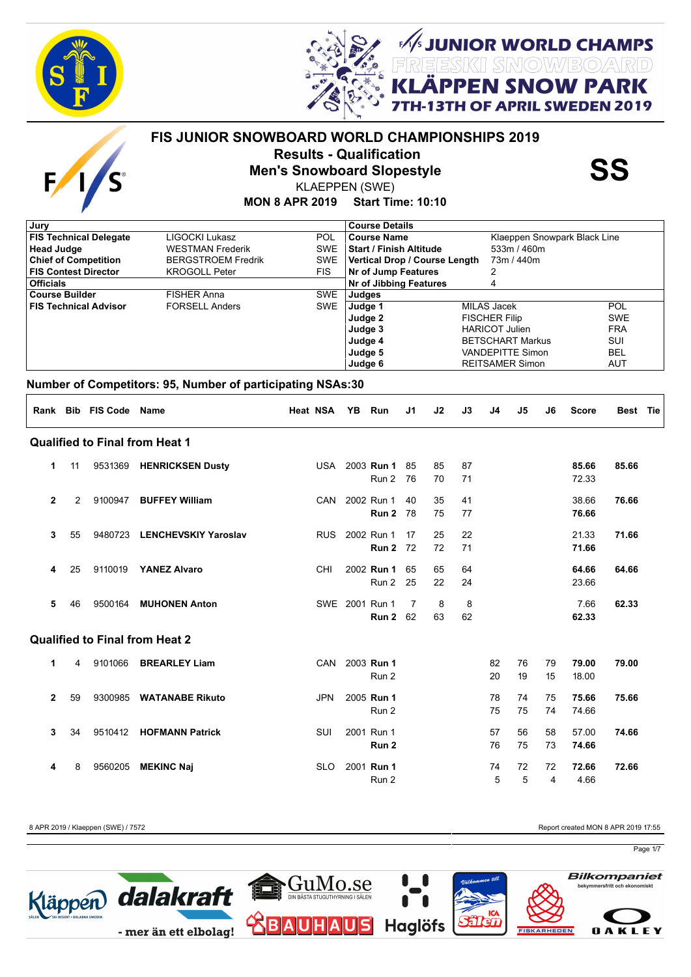

 $F_{\ell}$ 



*/<br>I JUNIOR WORLD CHAMPS<br>LÄPPEN SNOW PARK* 

**APRIL SWEDEN 2019** 

## **MON 8 APR 2019 Start Time: 10:10 FIS JUNIOR SNOWBOARD WORLD CHAMPIONSHIPS 2019 Results - Qualification<br>Men's Snowboard Slopestyle SS**<br>KLAEPPEN (SWE) KLAEPPEN (SWE)

| Jury                          |                           |            | <b>Course Details</b>         |                              |            |
|-------------------------------|---------------------------|------------|-------------------------------|------------------------------|------------|
| <b>FIS Technical Delegate</b> | LIGOCKI Lukasz            | POL        | Course Name                   | Klaeppen Snowpark Black Line |            |
| <b>Head Judge</b>             | <b>WESTMAN Frederik</b>   | <b>SWE</b> | l Start / Finish Altitude     | 533m/460m                    |            |
| <b>Chief of Competition</b>   | <b>BERGSTROEM Fredrik</b> | SWE        | Vertical Drop / Course Length | 73m / 440m                   |            |
| <b>FIS Contest Director</b>   | <b>KROGOLL Peter</b>      | FIS.       | <b>Nr of Jump Features</b>    |                              |            |
| <b>Officials</b>              |                           |            | Nr of Jibbing Features        | 4                            |            |
| <b>Course Builder</b>         | <b>FISHER Anna</b>        | <b>SWE</b> | Judges                        |                              |            |
| <b>FIS Technical Advisor</b>  | <b>FORSELL Anders</b>     | <b>SWE</b> | Judge 1                       | MILAS Jacek                  | <b>POL</b> |
|                               |                           |            | Judge 2                       | <b>FISCHER Filip</b>         | <b>SWE</b> |
|                               |                           |            | Judge 3                       | <b>HARICOT Julien</b>        | <b>FRA</b> |
|                               |                           |            | Judge 4                       | <b>BETSCHART Markus</b>      | SUI        |
|                               |                           |            | Judge 5                       | <b>VANDEPITTE Simon</b>      | <b>BEL</b> |
|                               |                           |            | Judge 6                       | <b>REITSAMER Simon</b>       | AUT        |
|                               |                           |            |                               |                              |            |

#### **Number of Competitors: 95, Number of participating NSAs:30**

|                |    | Rank Bib FIS Code | <b>Name</b>                           | <b>Heat NSA</b> | YB Run            | J <sub>1</sub> | J2 | J3 | J4 | J5 | J6 | <b>Score</b> | Best Tie |
|----------------|----|-------------------|---------------------------------------|-----------------|-------------------|----------------|----|----|----|----|----|--------------|----------|
|                |    |                   | <b>Qualified to Final from Heat 1</b> |                 |                   |                |    |    |    |    |    |              |          |
| 1              | 11 |                   | 9531369 HENRICKSEN Dusty              |                 | USA 2003 Run 1 85 |                | 85 | 87 |    |    |    | 85.66        | 85.66    |
|                |    |                   |                                       |                 | Run 2             | 76             | 70 | 71 |    |    |    | 72.33        |          |
| $\mathbf{2}$   | 2  | 9100947           | <b>BUFFEY William</b>                 | CAN             | 2002 Run 1        | 40             | 35 | 41 |    |    |    | 38.66        | 76.66    |
|                |    |                   |                                       |                 | <b>Run 2 78</b>   |                | 75 | 77 |    |    |    | 76.66        |          |
| 3              | 55 | 9480723           | <b>LENCHEVSKIY Yaroslav</b>           | <b>RUS</b>      | 2002 Run 1        | 17             | 25 | 22 |    |    |    | 21.33        | 71.66    |
|                |    |                   |                                       |                 | <b>Run 2 72</b>   |                | 72 | 71 |    |    |    | 71.66        |          |
| 4              | 25 | 9110019           | <b>YANEZ Alvaro</b>                   | CHI             | 2002 Run 1        | 65             | 65 | 64 |    |    |    | 64.66        | 64.66    |
|                |    |                   |                                       |                 | Run 2             | 25             | 22 | 24 |    |    |    | 23.66        |          |
| 5              | 46 | 9500164           | <b>MUHONEN Anton</b>                  |                 | SWE 2001 Run 1    | 7              | 8  | 8  |    |    |    | 7.66         | 62.33    |
|                |    |                   |                                       |                 | <b>Run 2</b> 62   |                | 63 | 62 |    |    |    | 62.33        |          |
|                |    |                   | <b>Qualified to Final from Heat 2</b> |                 |                   |                |    |    |    |    |    |              |          |
| 1              | 4  | 9101066           | <b>BREARLEY Liam</b>                  | CAN             | 2003 Run 1        |                |    |    | 82 | 76 | 79 | 79.00        | 79.00    |
|                |    |                   |                                       |                 | Run 2             |                |    |    | 20 | 19 | 15 | 18.00        |          |
| $\overline{2}$ | 59 | 9300985           | <b>WATANABE Rikuto</b>                | <b>JPN</b>      | 2005 Run 1        |                |    |    | 78 | 74 | 75 | 75.66        | 75.66    |
|                |    |                   |                                       |                 | Run 2             |                |    |    | 75 | 75 | 74 | 74.66        |          |
| 3              | 34 | 9510412           | <b>HOFMANN Patrick</b>                | SUI             | 2001 Run 1        |                |    |    | 57 | 56 | 58 | 57.00        | 74.66    |
|                |    |                   |                                       |                 | Run <sub>2</sub>  |                |    |    | 76 | 75 | 73 | 74.66        |          |
| 4              | 8  | 9560205           | <b>MEKINC Naj</b>                     | <b>SLO</b>      | 2001 Run 1        |                |    |    | 74 | 72 | 72 | 72.66        | 72.66    |
|                |    |                   |                                       |                 | Run 2             |                |    |    | 5  | 5  | 4  | 4.66         |          |

8 APR 2019 / Klaeppen (SWE) / 7572 Report created MON 8 APR 2019 17:55

Page 1/7

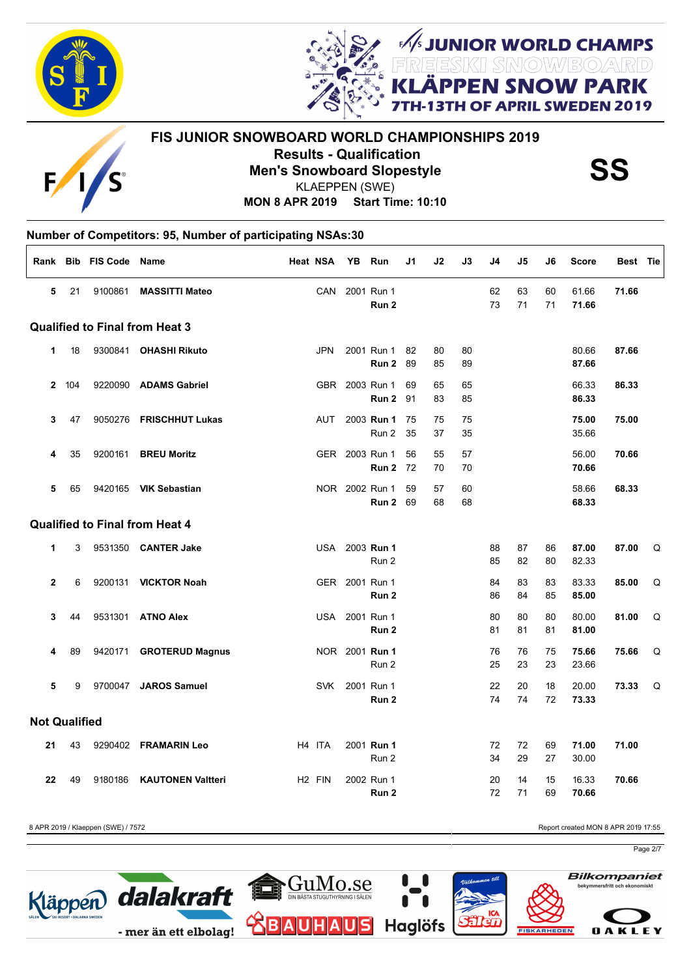



**JUNIOR WORLD CHAMPS<br>EESKII SMOW/BO/ARD<br># DDLLL ALLOULL DADIE SNOW PARK** OF APRIL SWEDEN 2019

# **FIS JUNIOR SNOWBOARD WORLD CHAMPIONSHIPS 2019 Results - Qualification<br>Men's Snowboard Slopestyle SS**<br>KLAEPPEN (SWE) KLAEPPEN (SWE)

**MON 8 APR 2019 Start Time: 10:10**

#### **Number of Competitors: 95, Number of participating NSAs:30**  $\Gamma$

|                      |     | Rank Bib FIS Code Name |                                       | <b>Heat NSA</b>    | YB             | Run                            | J1       | J2       | J3       | J4       | J5       | J6       | <b>Score</b>   | Best Tie |   |
|----------------------|-----|------------------------|---------------------------------------|--------------------|----------------|--------------------------------|----------|----------|----------|----------|----------|----------|----------------|----------|---|
| 5                    | 21  | 9100861                | <b>MASSITTI Mateo</b>                 | CAN                |                | 2001 Run 1<br>Run <sub>2</sub> |          |          |          | 62<br>73 | 63<br>71 | 60<br>71 | 61.66<br>71.66 | 71.66    |   |
|                      |     |                        | <b>Qualified to Final from Heat 3</b> |                    |                |                                |          |          |          |          |          |          |                |          |   |
| 1                    | 18  |                        | 9300841 OHASHI Rikuto                 | <b>JPN</b>         |                | 2001 Run 1<br>Run 2            | 82<br>89 | 80<br>85 | 80<br>89 |          |          |          | 80.66<br>87.66 | 87.66    |   |
| $\mathbf{2}$         | 104 |                        | 9220090 ADAMS Gabriel                 |                    |                | GBR 2003 Run 1<br>Run 2        | 69<br>91 | 65<br>83 | 65<br>85 |          |          |          | 66.33<br>86.33 | 86.33    |   |
| 3                    | 47  |                        | 9050276 FRISCHHUT Lukas               | <b>AUT</b>         |                | 2003 <b>Run 1</b><br>Run 2     | 75<br>35 | 75<br>37 | 75<br>35 |          |          |          | 75.00<br>35.66 | 75.00    |   |
| 4                    | 35  |                        | 9200161 BREU Moritz                   |                    |                | GER 2003 Run 1<br>Run 2        | 56<br>72 | 55<br>70 | 57<br>70 |          |          |          | 56.00<br>70.66 | 70.66    |   |
| 5                    | 65  |                        | 9420165 VIK Sebastian                 |                    |                | NOR 2002 Run 1<br>Run 2        | 59<br>69 | 57<br>68 | 60<br>68 |          |          |          | 58.66<br>68.33 | 68.33    |   |
|                      |     |                        | <b>Qualified to Final from Heat 4</b> |                    |                |                                |          |          |          |          |          |          |                |          |   |
| 1                    | 3   |                        | 9531350 CANTER Jake                   | USA                |                | 2003 Run 1<br>Run 2            |          |          |          | 88<br>85 | 87<br>82 | 86<br>80 | 87.00<br>82.33 | 87.00    | Q |
| $\overline{2}$       | 6   |                        | 9200131 <b>VICKTOR Noah</b>           |                    | GER 2001 Run 1 | Run 2                          |          |          |          | 84<br>86 | 83<br>84 | 83<br>85 | 83.33<br>85.00 | 85.00    | Q |
| 3                    | 44  |                        | 9531301 ATNO Alex                     |                    |                | USA 2001 Run 1<br>Run 2        |          |          |          | 80<br>81 | 80<br>81 | 80<br>81 | 80.00<br>81.00 | 81.00    | Q |
| 4                    | 89  |                        | 9420171 GROTERUD Magnus               |                    |                | NOR 2001 Run 1<br>Run 2        |          |          |          | 76<br>25 | 76<br>23 | 75<br>23 | 75.66<br>23.66 | 75.66    | Q |
| 5                    | 9   |                        | 9700047 JAROS Samuel                  | <b>SVK</b>         |                | 2001 Run 1<br>Run 2            |          |          |          | 22<br>74 | 20<br>74 | 18<br>72 | 20.00<br>73.33 | 73.33    | Q |
| <b>Not Qualified</b> |     |                        |                                       |                    |                |                                |          |          |          |          |          |          |                |          |   |
| 21                   | 43  |                        | 9290402 FRAMARIN Leo                  | H4 ITA             |                | 2001 Run 1<br>Run 2            |          |          |          | 72<br>34 | 72<br>29 | 69<br>27 | 71.00<br>30.00 | 71.00    |   |
| 22                   | 49  | 9180186                | <b>KAUTONEN Valtteri</b>              | H <sub>2</sub> FIN |                | 2002 Run 1<br>Run 2            |          |          |          | 20<br>72 | 14<br>71 | 15<br>69 | 16.33<br>70.66 | 70.66    |   |

8 APR 2019 / Klaeppen (SWE) / 7572 **Report created MON 8 APR 2019 17:55** 

Page 2/7







**OAKLEY** 

**Bilkompaniet**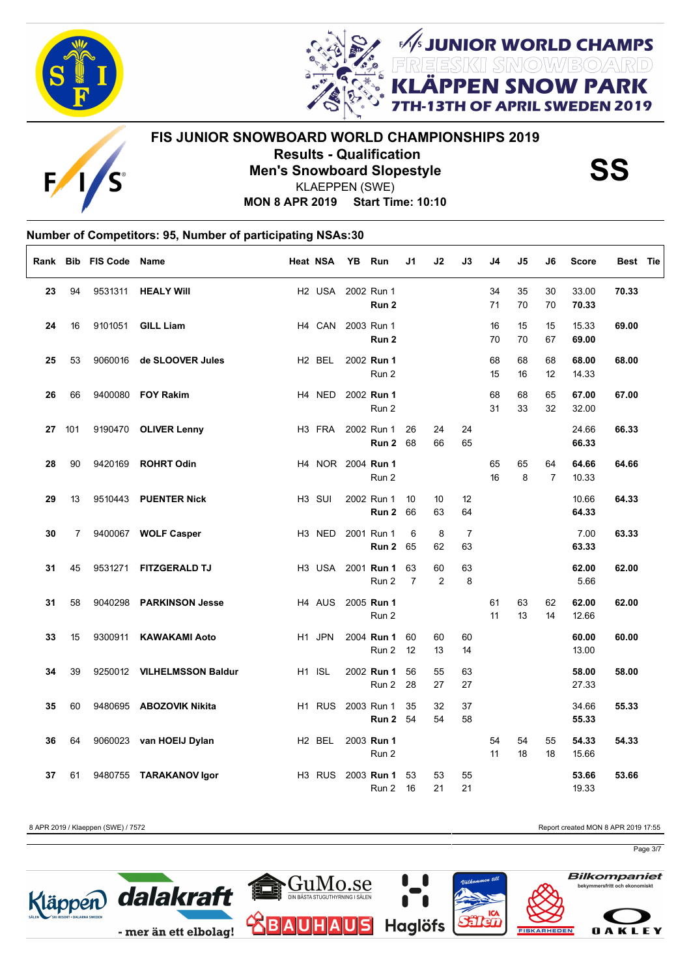

Г



**FIS JUNIOR SNOWBOARD WORLD CHAMPIONSHIPS 2019 Results - Qualification<br>Men's Snowboard Slopestyle SS**<br>KLAEPPEN (SWE) KLAEPPEN (SWE)

FUNIOR WORLD CHAMPS

**I SNOW PARK** 

OF APRIL SWEDEN 2019

**MON 8 APR 2019 Start Time: 10:10**

### **Number of Competitors: 95, Number of participating NSAs:30**

| Rank |     | <b>Bib FIS Code</b> | Name                       | <b>Heat NSA</b>    | <b>YB</b> | Run                           | J1                   | J2       | J3                   | J4       | J5       | J6                   | <b>Score</b>   | Best Tie |
|------|-----|---------------------|----------------------------|--------------------|-----------|-------------------------------|----------------------|----------|----------------------|----------|----------|----------------------|----------------|----------|
| 23   | 94  | 9531311             | <b>HEALY Will</b>          | H2 USA             |           | 2002 Run 1<br>Run 2           |                      |          |                      | 34<br>71 | 35<br>70 | 30<br>70             | 33.00<br>70.33 | 70.33    |
| 24   | 16  | 9101051             | <b>GILL Liam</b>           | H4 CAN             |           | 2003 Run 1<br>Run 2           |                      |          |                      | 16<br>70 | 15<br>70 | 15<br>67             | 15.33<br>69.00 | 69.00    |
| 25   | 53  |                     | 9060016 de SLOOVER Jules   | H <sub>2</sub> BEL |           | 2002 Run 1<br>Run 2           |                      |          |                      | 68<br>15 | 68<br>16 | 68<br>12             | 68.00<br>14.33 | 68.00    |
| 26   | 66  |                     | 9400080 FOY Rakim          | H4 NED             |           | 2002 Run 1<br>Run 2           |                      |          |                      | 68<br>31 | 68<br>33 | 65<br>32             | 67.00<br>32.00 | 67.00    |
| 27   | 101 |                     | 9190470 OLIVER Lenny       | H <sub>3</sub> FRA |           | 2002 Run 1<br><b>Run 2 68</b> | 26                   | 24<br>66 | 24<br>65             |          |          |                      | 24.66<br>66.33 | 66.33    |
| 28   | 90  | 9420169             | <b>ROHRT Odin</b>          |                    |           | H4 NOR 2004 Run 1<br>Run 2    |                      |          |                      | 65<br>16 | 65<br>8  | 64<br>$\overline{7}$ | 64.66<br>10.33 | 64.66    |
| 29   | 13  |                     | 9510443 PUENTER Nick       | H <sub>3</sub> SUI |           | 2002 Run 1<br>Run 2           | 10<br>66             | 10<br>63 | 12<br>64             |          |          |                      | 10.66<br>64.33 | 64.33    |
| 30   | 7   |                     | 9400067 WOLF Casper        | H3 NED             |           | 2001 Run 1<br><b>Run 2 65</b> | 6                    | 8<br>62  | $\overline{7}$<br>63 |          |          |                      | 7.00<br>63.33  | 63.33    |
| 31   | 45  |                     | 9531271 FITZGERALD TJ      | H3 USA             |           | 2001 <b>Run 1</b><br>Run 2    | 63<br>$\overline{7}$ | 60<br>2  | 63<br>8              |          |          |                      | 62.00<br>5.66  | 62.00    |
| 31   | 58  |                     | 9040298 PARKINSON Jesse    | H <sub>4</sub> AUS |           | 2005 Run 1<br>Run 2           |                      |          |                      | 61<br>11 | 63<br>13 | 62<br>14             | 62.00<br>12.66 | 62.00    |
| 33   | 15  | 9300911             | <b>KAWAKAMI Aoto</b>       | H1 JPN             |           | 2004 Run 1<br>Run 2           | 60<br>12             | 60<br>13 | 60<br>14             |          |          |                      | 60.00<br>13.00 | 60.00    |
| 34   | 39  |                     | 9250012 VILHELMSSON Baldur | H1 ISL             |           | 2002 Run 1<br>Run 2           | 56<br>28             | 55<br>27 | 63<br>27             |          |          |                      | 58.00<br>27.33 | 58.00    |
| 35   | 60  |                     | 9480695 ABOZOVIK Nikita    | H <sub>1</sub> RUS |           | 2003 Run 1<br>Run 2           | 35<br>54             | 32<br>54 | 37<br>58             |          |          |                      | 34.66<br>55.33 | 55.33    |
| 36   | 64  |                     | 9060023 van HOEIJ Dylan    | H <sub>2</sub> BEL |           | 2003 Run 1<br>Run 2           |                      |          |                      | 54<br>11 | 54<br>18 | 55<br>18             | 54.33<br>15.66 | 54.33    |
| 37   | 61  |                     | 9480755 TARAKANOV Igor     | H <sub>3</sub> RUS |           | 2003 Run 1<br>Run 2           | 53<br>16             | 53<br>21 | 55<br>21             |          |          |                      | 53.66<br>19.33 | 53.66    |

8 APR 2019 / Klaeppen (SWE) / 7572 **Report created MON 8 APR 2019 17:55** 

Page 3/7

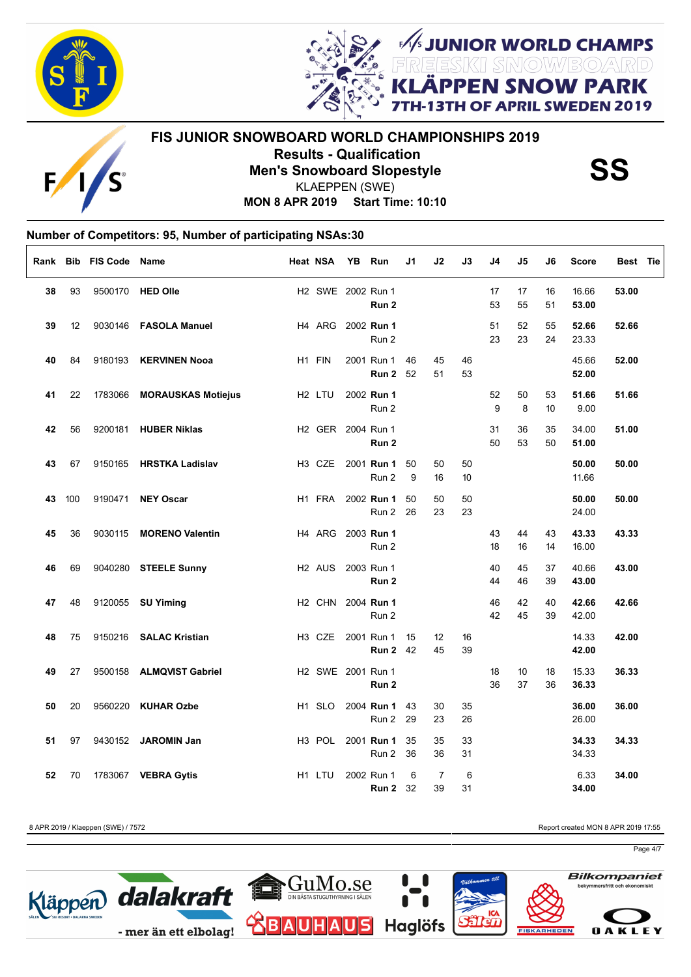

Г



**FIS JUNIOR SNOWBOARD WORLD CHAMPIONSHIPS 2019 Results - Qualification<br>Men's Snowboard Slopestyle SS**<br>KLAEPPEN (SWE) KLAEPPEN (SWE)

FUNIOR WORLD CHAMPS

**I SNOW PARK** 

OF APRIL SWEDEN 2019

**MON 8 APR 2019 Start Time: 10:10**

### **Number of Competitors: 95, Number of participating NSAs:30**

| Rank |     | Bib FIS Code Name |                            | <b>Heat NSA</b>                | <b>YB</b> | Run                                    | J1       | J2                   | J3       | J4       | J5       | J6       | <b>Score</b>   | Best Tie |
|------|-----|-------------------|----------------------------|--------------------------------|-----------|----------------------------------------|----------|----------------------|----------|----------|----------|----------|----------------|----------|
| 38   | 93  |                   | 9500170 HED Olle           | H2 SWE 2002 Run 1              |           | Run 2                                  |          |                      |          | 17<br>53 | 17<br>55 | 16<br>51 | 16.66<br>53.00 | 53.00    |
| 39   | 12  |                   | 9030146 FASOLA Manuel      |                                |           | H4 ARG 2002 Run 1<br>Run 2             |          |                      |          | 51<br>23 | 52<br>23 | 55<br>24 | 52.66<br>23.33 | 52.66    |
| 40   | 84  | 9180193           | <b>KERVINEN Nooa</b>       | H1 FIN                         |           | 2001 Run 1<br>Run 2                    | 46<br>52 | 45<br>51             | 46<br>53 |          |          |          | 45.66<br>52.00 | 52.00    |
| 41   | 22  |                   | 1783066 MORAUSKAS Motiejus | H2 LTU                         |           | 2002 Run 1<br>Run 2                    |          |                      |          | 52<br>9  | 50<br>8  | 53<br>10 | 51.66<br>9.00  | 51.66    |
| 42   | 56  |                   | 9200181 HUBER Niklas       |                                |           | H2 GER 2004 Run 1<br>Run 2             |          |                      |          | 31<br>50 | 36<br>53 | 35<br>50 | 34.00<br>51.00 | 51.00    |
| 43   | 67  | 9150165           | <b>HRSTKA Ladislav</b>     | H <sub>3</sub> C <sub>ZE</sub> |           | 2001 Run 1<br>Run 2                    | 50<br>9  | 50<br>16             | 50<br>10 |          |          |          | 50.00<br>11.66 | 50.00    |
| 43   | 100 |                   | 9190471 NEY Oscar          |                                |           | H1 FRA 2002 Run 1<br>Run 2             | 50<br>26 | 50<br>23             | 50<br>23 |          |          |          | 50.00<br>24.00 | 50.00    |
| 45   | 36  | 9030115           | <b>MORENO Valentin</b>     |                                |           | H4 ARG 2003 Run 1<br>Run 2             |          |                      |          | 43<br>18 | 44<br>16 | 43<br>14 | 43.33<br>16.00 | 43.33    |
| 46   | 69  |                   | 9040280 STEELE Sunny       | H <sub>2</sub> AUS             |           | 2003 Run 1<br>Run <sub>2</sub>         |          |                      |          | 40<br>44 | 45<br>46 | 37<br>39 | 40.66<br>43.00 | 43.00    |
| 47   | 48  |                   | 9120055 SU Yiming          |                                |           | H <sub>2</sub> CHN 2004 Run 1<br>Run 2 |          |                      |          | 46<br>42 | 42<br>45 | 40<br>39 | 42.66<br>42.00 | 42.66    |
| 48   | 75  |                   | 9150216 SALAC Kristian     |                                |           | H3 CZE 2001 Run 1<br><b>Run 2</b> 42   | 15       | 12<br>45             | 16<br>39 |          |          |          | 14.33<br>42.00 | 42.00    |
| 49   | 27  |                   | 9500158 ALMQVIST Gabriel   |                                |           | H2 SWE 2001 Run 1<br>Run 2             |          |                      |          | 18<br>36 | 10<br>37 | 18<br>36 | 15.33<br>36.33 | 36.33    |
| 50   | 20  |                   | 9560220 KUHAR Ozbe         | H <sub>1</sub> SLO             |           | 2004 Run 1<br>Run 2                    | 43<br>29 | 30<br>23             | 35<br>26 |          |          |          | 36.00<br>26.00 | 36.00    |
| 51   | 97  |                   | 9430152 JAROMIN Jan        | H3 POL                         |           | 2001 Run 1<br>Run 2                    | 35<br>36 | 35<br>36             | 33<br>31 |          |          |          | 34.33<br>34.33 | 34.33    |
| 52   | 70  |                   | 1783067 VEBRA Gytis        | H <sub>1</sub> LTU             |           | 2002 Run 1<br><b>Run 2</b> 32          | 6        | $\overline{7}$<br>39 | 6<br>31  |          |          |          | 6.33<br>34.00  | 34.00    |

8 APR 2019 / Klaeppen (SWE) / 7572 **Report created MON 8 APR 2019 17:55** 

Page 4/7

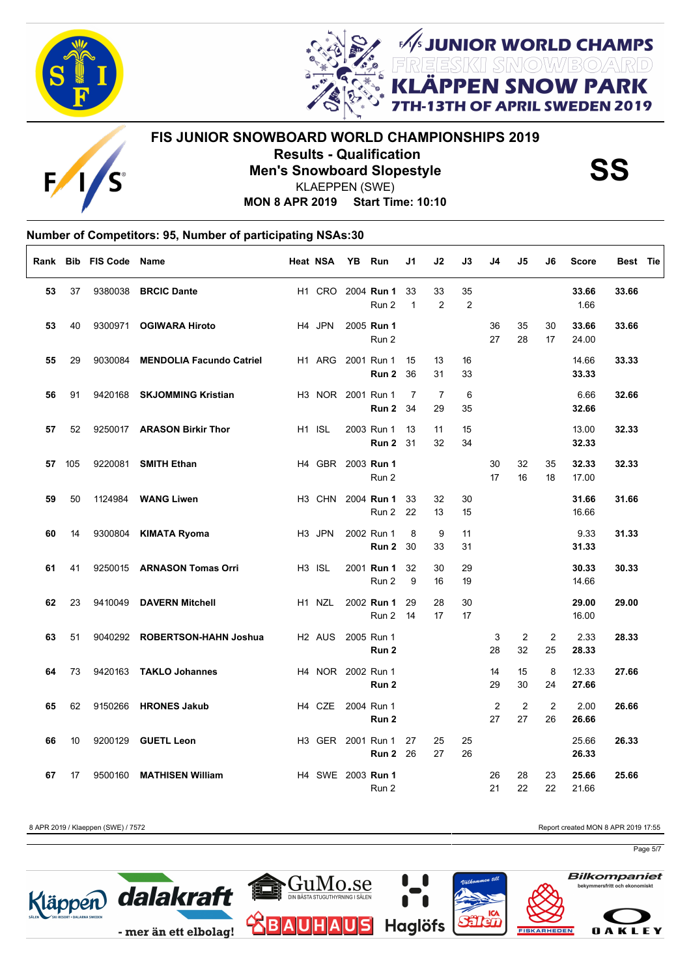



**I SNOW PARK** OF APRIL SWEDEN 2019 **FIS JUNIOR SNOWBOARD WORLD CHAMPIONSHIPS 2019**

Г

**Results - Qualification<br>Men's Snowboard Slopestyle SS**<br>KLAEPPEN (SWE) KLAEPPEN (SWE)

**JUNIOR WORLD CHAMPS<br>EESKII SMOW/BO/ARD<br># DDLLL ALLOULL DADIE** 

**MON 8 APR 2019 Start Time: 10:10**

### **Number of Competitors: 95, Number of participating NSAs:30**

|    |     | Rank Bib FIS Code Name |                                 | <b>Heat NSA</b>                | YB Run |                                      | J1                 | J2                   | J3                   | J4       | J5                   | J6                   | <b>Score</b>   | Best Tie |  |
|----|-----|------------------------|---------------------------------|--------------------------------|--------|--------------------------------------|--------------------|----------------------|----------------------|----------|----------------------|----------------------|----------------|----------|--|
| 53 | 37  |                        | 9380038 BRCIC Dante             |                                |        | H1 CRO 2004 Run 1<br>Run 2           | 33<br>$\mathbf{1}$ | 33<br>2              | 35<br>$\overline{2}$ |          |                      |                      | 33.66<br>1.66  | 33.66    |  |
| 53 | 40  |                        | 9300971 OGIWARA Hiroto          | H4 JPN                         |        | 2005 Run 1<br>Run 2                  |                    |                      |                      | 36<br>27 | 35<br>28             | 30<br>17             | 33.66<br>24.00 | 33.66    |  |
| 55 | 29  | 9030084                | <b>MENDOLIA Facundo Catriel</b> | H1 ARG                         |        | 2001 Run 1<br>Run 2                  | 15<br>36           | 13<br>31             | 16<br>33             |          |                      |                      | 14.66<br>33.33 | 33.33    |  |
| 56 | 91  | 9420168                | <b>SKJOMMING Kristian</b>       | H3 NOR 2001 Run 1              |        | Run 2                                | 7<br>34            | $\overline{7}$<br>29 | 6<br>35              |          |                      |                      | 6.66<br>32.66  | 32.66    |  |
| 57 | 52  |                        | 9250017 ARASON Birkir Thor      | H <sub>1</sub> ISL             |        | 2003 Run 1<br><b>Run 2 31</b>        | 13                 | 11<br>32             | 15<br>34             |          |                      |                      | 13.00<br>32.33 | 32.33    |  |
| 57 | 105 | 9220081                | <b>SMITH Ethan</b>              | H4 GBR 2003 Run 1              |        | Run 2                                |                    |                      |                      | 30<br>17 | 32<br>16             | 35<br>18             | 32.33<br>17.00 | 32.33    |  |
| 59 | 50  |                        | 1124984 <b>WANG Liwen</b>       | H <sub>3</sub> CHN             |        | 2004 <b>Run 1</b><br>Run 2           | 33<br>22           | 32<br>13             | 30<br>15             |          |                      |                      | 31.66<br>16.66 | 31.66    |  |
| 60 | 14  |                        | 9300804 KIMATA Ryoma            | H <sub>3</sub> JPN             |        | 2002 Run 1<br>Run 2                  | 8<br>30            | 9<br>33              | 11<br>31             |          |                      |                      | 9.33<br>31.33  | 31.33    |  |
| 61 | 41  |                        | 9250015 ARNASON Tomas Orri      | H <sub>3</sub> ISL             |        | 2001 Run 1<br>Run 2                  | 32<br>9            | 30<br>16             | 29<br>19             |          |                      |                      | 30.33<br>14.66 | 30.33    |  |
| 62 | 23  | 9410049                | <b>DAVERN Mitchell</b>          | H <sub>1</sub> N <sub>ZL</sub> |        | 2002 Run 1<br>Run 2 14               | 29                 | 28<br>17             | 30<br>17             |          |                      |                      | 29.00<br>16.00 | 29.00    |  |
| 63 | 51  |                        | 9040292 ROBERTSON-HAHN Joshua   | H <sub>2</sub> AUS             |        | 2005 Run 1<br>Run 2                  |                    |                      |                      | 3<br>28  | $\overline{2}$<br>32 | $\overline{2}$<br>25 | 2.33<br>28.33  | 28.33    |  |
| 64 | 73  |                        | 9420163 TAKLO Johannes          | H4 NOR 2002 Run 1              |        | Run 2                                |                    |                      |                      | 14<br>29 | 15<br>30             | 8<br>24              | 12.33<br>27.66 | 27.66    |  |
| 65 | 62  |                        | 9150266 HRONES Jakub            | H4 CZE 2004 Run 1              |        | Run 2                                |                    |                      |                      | 2<br>27  | 2<br>27              | 2<br>26              | 2.00<br>26.66  | 26.66    |  |
| 66 | 10  |                        | 9200129 GUETL Leon              |                                |        | H3 GER 2001 Run 1<br><b>Run 2 26</b> | 27                 | 25<br>27             | 25<br>26             |          |                      |                      | 25.66<br>26.33 | 26.33    |  |
| 67 | 17  | 9500160                | <b>MATHISEN William</b>         | H4 SWE 2003 Run 1              |        | Run 2                                |                    |                      |                      | 26<br>21 | 28<br>22             | 23<br>22             | 25.66<br>21.66 | 25.66    |  |

Kläppen dalakraft

- mer än ett elbolag!

8 APR 2019 / Klaeppen (SWE) / 7572 **Report created MON 8 APR 2019 17:55** 

Page 5/7

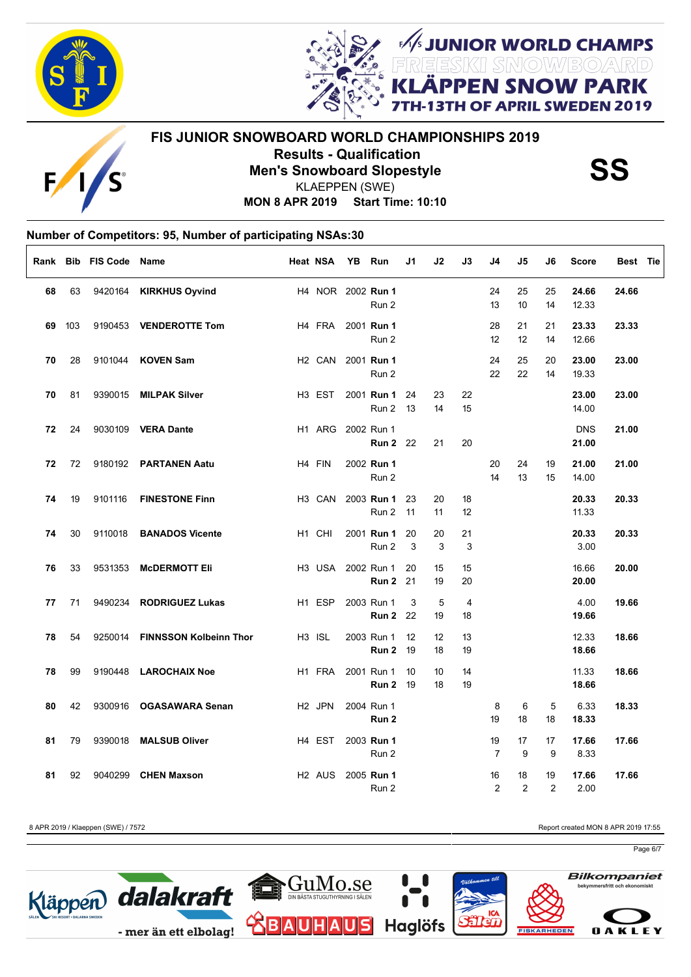

Г



**FIS JUNIOR SNOWBOARD WORLD CHAMPIONSHIPS 2019 Results - Qualification<br>Men's Snowboard Slopestyle SS**<br>KLAEPPEN (SWE) KLAEPPEN (SWE)

FUNIOR WORLD CHAMPS

**I SNOW PARK** 

OF APRIL SWEDEN 2019

**MON 8 APR 2019 Start Time: 10:10**

## **Number of Competitors: 95, Number of participating NSAs:30**

|    |     | Rank Bib FIS Code Name |                               | <b>Heat NSA</b>    | YB. | Run                           | J1       | J2       | J3       | J4                   | J5                   | J6                   | <b>Score</b>        | Best Tie |
|----|-----|------------------------|-------------------------------|--------------------|-----|-------------------------------|----------|----------|----------|----------------------|----------------------|----------------------|---------------------|----------|
| 68 | 63  |                        | 9420164 KIRKHUS Oyvind        |                    |     | H4 NOR 2002 Run 1<br>Run 2    |          |          |          | 24<br>13             | 25<br>10             | 25<br>14             | 24.66<br>12.33      | 24.66    |
| 69 | 103 |                        | 9190453 VENDEROTTE Tom        | H4 FRA             |     | 2001 Run 1<br>Run 2           |          |          |          | 28<br>12             | 21<br>12             | 21<br>14             | 23.33<br>12.66      | 23.33    |
| 70 | 28  | 9101044                | <b>KOVEN Sam</b>              | H <sub>2</sub> CAN |     | 2001 Run 1<br>Run 2           |          |          |          | 24<br>22             | 25<br>22             | 20<br>14             | 23.00<br>19.33      | 23.00    |
| 70 | 81  |                        | 9390015 MILPAK Silver         | H <sub>3</sub> EST |     | 2001 Run 1<br>Run 2           | 24<br>13 | 23<br>14 | 22<br>15 |                      |                      |                      | 23.00<br>14.00      | 23.00    |
| 72 | 24  |                        | 9030109 VERA Dante            | H1 ARG             |     | 2002 Run 1<br><b>Run 2</b> 22 |          | 21       | 20       |                      |                      |                      | <b>DNS</b><br>21.00 | 21.00    |
| 72 | 72  |                        | 9180192 PARTANEN Aatu         | H4 FIN             |     | 2002 Run 1<br>Run 2           |          |          |          | 20<br>14             | 24<br>13             | 19<br>15             | 21.00<br>14.00      | 21.00    |
| 74 | 19  | 9101116                | <b>FINESTONE Finn</b>         | H <sub>3</sub> CAN |     | 2003 Run 1<br>Run 2           | 23<br>11 | 20<br>11 | 18<br>12 |                      |                      |                      | 20.33<br>11.33      | 20.33    |
| 74 | 30  | 9110018                | <b>BANADOS Vicente</b>        | H1 CHI             |     | 2001 Run 1<br>Run 2           | 20<br>3  | 20<br>3  | 21<br>3  |                      |                      |                      | 20.33<br>3.00       | 20.33    |
| 76 | 33  | 9531353                | <b>MCDERMOTT Eli</b>          | H3 USA             |     | 2002 Run 1<br>Run 2           | 20<br>21 | 15<br>19 | 15<br>20 |                      |                      |                      | 16.66<br>20.00      | 20.00    |
| 77 | 71  |                        | 9490234 RODRIGUEZ Lukas       | H <sub>1</sub> ESP |     | 2003 Run 1<br><b>Run 2</b> 22 | 3        | 5<br>19  | 4<br>18  |                      |                      |                      | 4.00<br>19.66       | 19.66    |
| 78 | 54  | 9250014                | <b>FINNSSON Kolbeinn Thor</b> | H <sub>3</sub> ISL |     | 2003 Run 1<br>Run 2           | 12<br>19 | 12<br>18 | 13<br>19 |                      |                      |                      | 12.33<br>18.66      | 18.66    |
| 78 | 99  |                        | 9190448 LAROCHAIX Noe         | H1 FRA             |     | 2001 Run 1<br><b>Run 2 19</b> | 10       | 10<br>18 | 14<br>19 |                      |                      |                      | 11.33<br>18.66      | 18.66    |
| 80 | 42  |                        | 9300916 OGASAWARA Senan       | H <sub>2</sub> JPN |     | 2004 Run 1<br>Run 2           |          |          |          | 8<br>19              | 6<br>18              | 5<br>18              | 6.33<br>18.33       | 18.33    |
| 81 | 79  |                        | 9390018 MALSUB Oliver         | H4 EST             |     | 2003 Run 1<br>Run 2           |          |          |          | 19<br>$\overline{7}$ | 17<br>9              | 17<br>9              | 17.66<br>8.33       | 17.66    |
| 81 | 92  | 9040299                | <b>CHEN Maxson</b>            | H <sub>2</sub> AUS |     | 2005 Run 1<br>Run 2           |          |          |          | 16<br>2              | 18<br>$\overline{2}$ | 19<br>$\overline{2}$ | 17.66<br>2.00       | 17.66    |

Kläppen dalakraft

- mer än ett elbolag!

8 APR 2019 / Klaeppen (SWE) / 7572 **Report created MON 8 APR 2019 17:55** 

Page 6/7